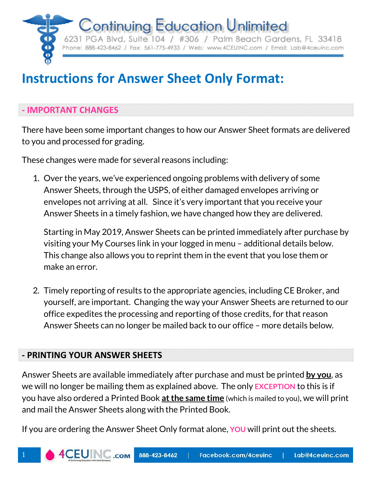

6231 PGA Blvd, Suite 104 / #306 / Palm Beach Gardens, FL 33418 Phone: 888-423-8462 / Fax: 561-775-4933 / Web: www.4CEUINC.com / Email: Lab@4ceuinc.com

# **Instructions for Answer Sheet Only Format:**

# **- IMPORTANT CHANGES**

There have been some important changes to how our Answer Sheet formats are delivered to you and processed for grading.

These changes were made for several reasons including:

1. Over the years, we've experienced ongoing problems with delivery of some Answer Sheets, through the USPS, of either damaged envelopes arriving or envelopes not arriving at all. Since it's very important that you receive your Answer Sheets in a timely fashion, we have changed how they are delivered.

Starting in May 2019, Answer Sheets can be printed immediately after purchase by visiting your My Courses link in your logged in menu – additional details below. This change also allows you to reprint them in the event that you lose them or make an error.

2. Timely reporting of results to the appropriate agencies, including CE Broker, and yourself, are important. Changing the way your Answer Sheets are returned to our office expedites the processing and reporting of those credits, for that reason Answer Sheets can no longer be mailed back to our office – more details below.

# **- PRINTING YOUR ANSWER SHEETS**

Answer Sheets are available immediately after purchase and must be printed **by you**, as we will no longer be mailing them as explained above. The only **EXCEPTION** to this is if you have also ordered a Printed Book **at the same time** (which is mailed to you), we will print and mail the Answer Sheets along with the Printed Book.

If you are ordering the Answer Sheet Only format alone, **YOU** will print out the sheets.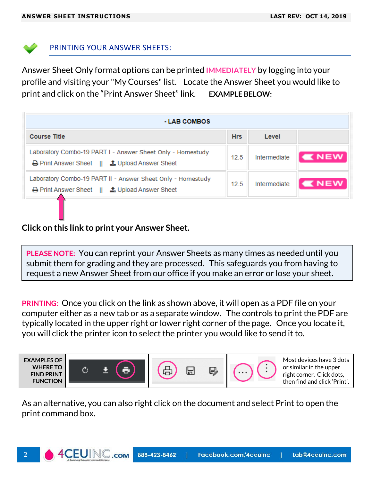

#### PRINTING YOUR ANSWER SHEETS:

Answer Sheet Only format options can be printed **IMMEDIATELY** by logging into your profile and visiting your "My Courses" list. Locate the Answer Sheet you would like to print and click on the "Print Answer Sheet" link. **EXAMPLE BELOW:**

| - LAB COMBOS                                                                                                               |            |              |              |  |
|----------------------------------------------------------------------------------------------------------------------------|------------|--------------|--------------|--|
| <b>Course Title</b>                                                                                                        | <b>Hrs</b> | Level        |              |  |
| Laboratory Combo-19 PART I - Answer Sheet Only - Homestudy<br><b>A</b> Print Answer Sheet    <b>主</b> Upload Answer Sheet  | 12.5       | Intermediate | <b>K</b> NEW |  |
| Laboratory Combo-19 PART II - Answer Sheet Only - Homestudy<br><b>A</b> Print Answer Sheet    <b>主</b> Upload Answer Sheet | 12.5       | Intermediate | <b>KNEW</b>  |  |

## **Click on this link to print your Answer Sheet.**

**PLEASE NOTE:** You can reprint your Answer Sheets as many times as needed until you submit them for grading and they are processed. This safeguards you from having to request a new Answer Sheet from our office if you make an error or lose your sheet.

**PRINTING:** Once you click on the link as shown above, it will open as a PDF file on your computer either as a new tab or as a separate window. The controls to print the PDF are typically located in the upper right or lower right corner of the page. Once you locate it, you will click the printer icon to select the printer you would like to send it to.



As an alternative, you can also right click on the document and select Print to open the print command box.